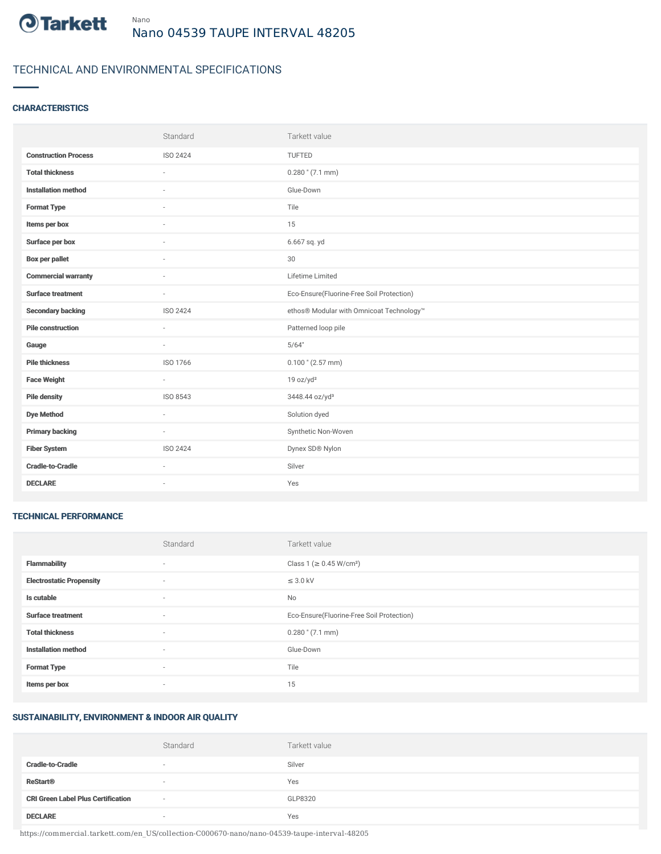

## TECHNICAL AND ENVIRONMENTAL SPECIFICATIONS

### **CHARACTERISTICS**

|                             | Standard | Tarkett value                             |
|-----------------------------|----------|-------------------------------------------|
| <b>Construction Process</b> | ISO 2424 | TUFTED                                    |
| <b>Total thickness</b>      |          | $0.280$ " (7.1 mm)                        |
| <b>Installation method</b>  | $\sim$   | Glue-Down                                 |
| <b>Format Type</b>          |          | Tile                                      |
| Items per box               |          | 15                                        |
| Surface per box             |          | 6.667 sq. yd                              |
| Box per pallet              | $\sim$   | 30                                        |
| <b>Commercial warranty</b>  | ٠        | Lifetime Limited                          |
| <b>Surface treatment</b>    | $\sim$   | Eco-Ensure(Fluorine-Free Soil Protection) |
| <b>Secondary backing</b>    | ISO 2424 | ethos® Modular with Omnicoat Technology™  |
| <b>Pile construction</b>    | $\sim$   | Patterned loop pile                       |
| Gauge                       | $\sim$   | 5/64"                                     |
| <b>Pile thickness</b>       | ISO 1766 | $0.100$ " (2.57 mm)                       |
| <b>Face Weight</b>          | $\sim$   | 19 oz/yd <sup>2</sup>                     |
| <b>Pile density</b>         | ISO 8543 | 3448.44 oz/yd <sup>3</sup>                |
| <b>Dye Method</b>           | $\sim$   | Solution dyed                             |
| <b>Primary backing</b>      | $\sim$   | Synthetic Non-Woven                       |
| <b>Fiber System</b>         | ISO 2424 | Dynex SD® Nylon                           |
| <b>Cradle-to-Cradle</b>     | $\sim$   | Silver                                    |
| <b>DECLARE</b>              | ٠        | Yes                                       |

#### TECHNICAL PERFORMANCE

|                                 | Standard                 | Tarkett value                             |
|---------------------------------|--------------------------|-------------------------------------------|
| <b>Flammability</b>             | ۰                        | Class 1 (≥ 0.45 W/cm <sup>2</sup> )       |
| <b>Electrostatic Propensity</b> | $\sim$                   | $\leq$ 3.0 kV                             |
| Is cutable                      | $\overline{\phantom{a}}$ | No                                        |
| <b>Surface treatment</b>        | $\sim$                   | Eco-Ensure(Fluorine-Free Soil Protection) |
| <b>Total thickness</b>          | $\sim$                   | $0.280$ " (7.1 mm)                        |
| <b>Installation method</b>      | $\sim$                   | Glue-Down                                 |
| <b>Format Type</b>              | $\sim$                   | Tile                                      |
| Items per box                   | ۰                        | 15                                        |

#### SUSTAINABILITY, ENVIRONMENT & INDOOR AIR QUALITY

|                                           | Standard | Tarkett value |
|-------------------------------------------|----------|---------------|
| <b>Cradle-to-Cradle</b>                   | $\sim$   | Silver        |
| <b>ReStart<sup>®</sup></b>                | $\sim$   | Yes           |
| <b>CRI Green Label Plus Certification</b> | $\sim$   | GLP8320       |
| <b>DECLARE</b>                            | $\sim$   | Yes           |

https://commercial.tarkett.com/en\_US/collection-C000670-nano/nano-04539-taupe-interval-48205